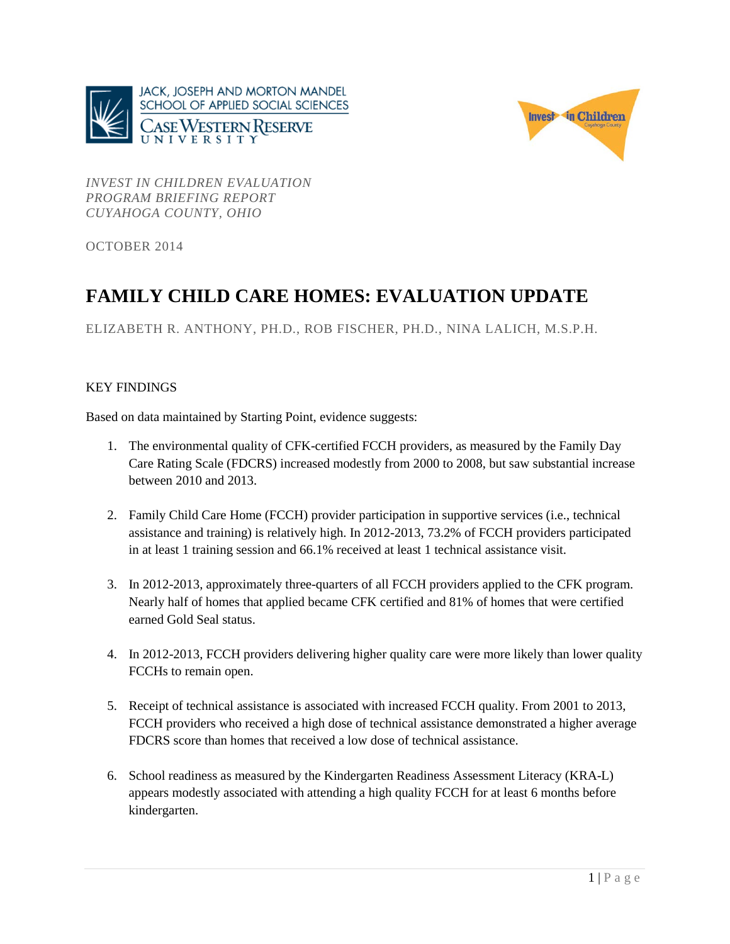



*INVEST IN CHILDREN EVALUATION PROGRAM BRIEFING REPORT CUYAHOGA COUNTY, OHIO*

OCTOBER 2014

# **FAMILY CHILD CARE HOMES: EVALUATION UPDATE**

ELIZABETH R. ANTHONY, PH.D., ROB FISCHER, PH.D., NINA LALICH, M.S.P.H.

# KEY FINDINGS

Based on data maintained by Starting Point, evidence suggests:

- 1. The environmental quality of CFK-certified FCCH providers, as measured by the Family Day Care Rating Scale (FDCRS) increased modestly from 2000 to 2008, but saw substantial increase between 2010 and 2013.
- 2. Family Child Care Home (FCCH) provider participation in supportive services (i.e., technical assistance and training) is relatively high. In 2012-2013, 73.2% of FCCH providers participated in at least 1 training session and 66.1% received at least 1 technical assistance visit.
- 3. In 2012-2013, approximately three-quarters of all FCCH providers applied to the CFK program. Nearly half of homes that applied became CFK certified and 81% of homes that were certified earned Gold Seal status.
- 4. In 2012-2013, FCCH providers delivering higher quality care were more likely than lower quality FCCHs to remain open.
- 5. Receipt of technical assistance is associated with increased FCCH quality. From 2001 to 2013, FCCH providers who received a high dose of technical assistance demonstrated a higher average FDCRS score than homes that received a low dose of technical assistance.
- 6. School readiness as measured by the Kindergarten Readiness Assessment Literacy (KRA-L) appears modestly associated with attending a high quality FCCH for at least 6 months before kindergarten.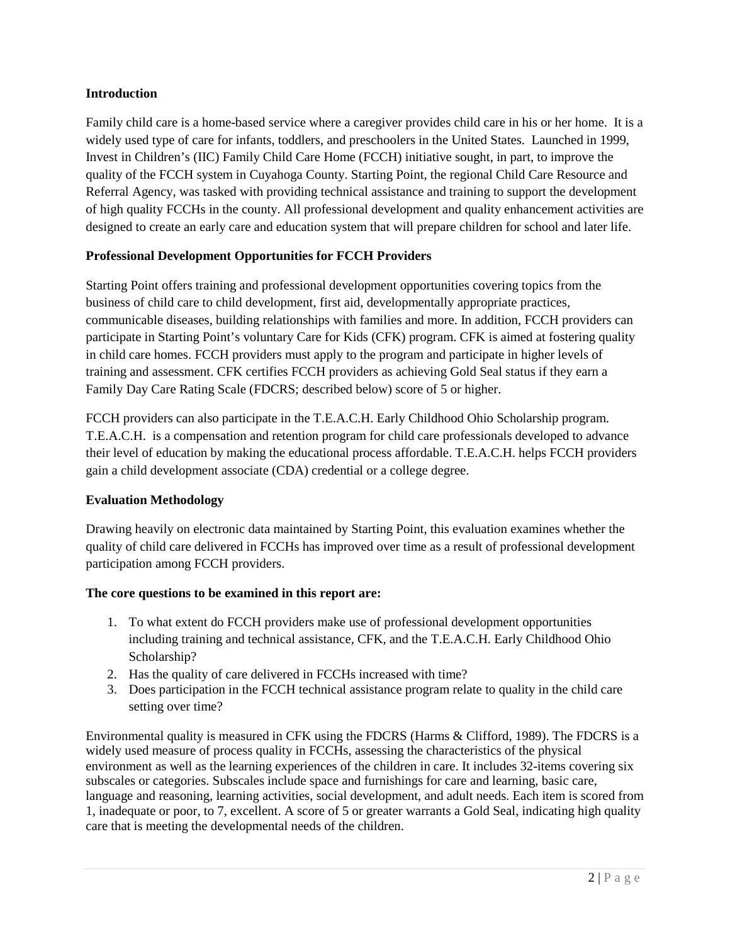## **Introduction**

Family child care is a home-based service where a caregiver provides child care in his or her home. It is a widely used type of care for infants, toddlers, and preschoolers in the United States. Launched in 1999, Invest in Children's (IIC) Family Child Care Home (FCCH) initiative sought, in part, to improve the quality of the FCCH system in Cuyahoga County. Starting Point, the regional Child Care Resource and Referral Agency, was tasked with providing technical assistance and training to support the development of high quality FCCHs in the county. All professional development and quality enhancement activities are designed to create an early care and education system that will prepare children for school and later life.

# **Professional Development Opportunities for FCCH Providers**

Starting Point offers training and professional development opportunities covering topics from the business of child care to child development, first aid, developmentally appropriate practices, communicable diseases, building relationships with families and more. In addition, FCCH providers can participate in Starting Point's voluntary Care for Kids (CFK) program. CFK is aimed at fostering quality in child care homes. FCCH providers must apply to the program and participate in higher levels of training and assessment. CFK certifies FCCH providers as achieving Gold Seal status if they earn a Family Day Care Rating Scale (FDCRS; described below) score of 5 or higher.

FCCH providers can also participate in the T.E.A.C.H. Early Childhood Ohio Scholarship program. T.E.A.C.H. is a compensation and retention program for child care professionals developed to advance their level of education by making the educational process affordable. T.E.A.C.H. helps FCCH providers gain a child development associate (CDA) credential or a college degree.

## **Evaluation Methodology**

Drawing heavily on electronic data maintained by Starting Point, this evaluation examines whether the quality of child care delivered in FCCHs has improved over time as a result of professional development participation among FCCH providers.

## **The core questions to be examined in this report are:**

- 1. To what extent do FCCH providers make use of professional development opportunities including training and technical assistance, CFK, and the T.E.A.C.H. Early Childhood Ohio Scholarship?
- 2. Has the quality of care delivered in FCCHs increased with time?
- 3. Does participation in the FCCH technical assistance program relate to quality in the child care setting over time?

Environmental quality is measured in CFK using the FDCRS (Harms & Clifford, 1989). The FDCRS is a widely used measure of process quality in FCCHs, assessing the characteristics of the physical environment as well as the learning experiences of the children in care. It includes 32-items covering six subscales or categories. Subscales include space and furnishings for care and learning, basic care, language and reasoning, learning activities, social development, and adult needs. Each item is scored from 1, inadequate or poor, to 7, excellent. A score of 5 or greater warrants a Gold Seal, indicating high quality care that is meeting the developmental needs of the children.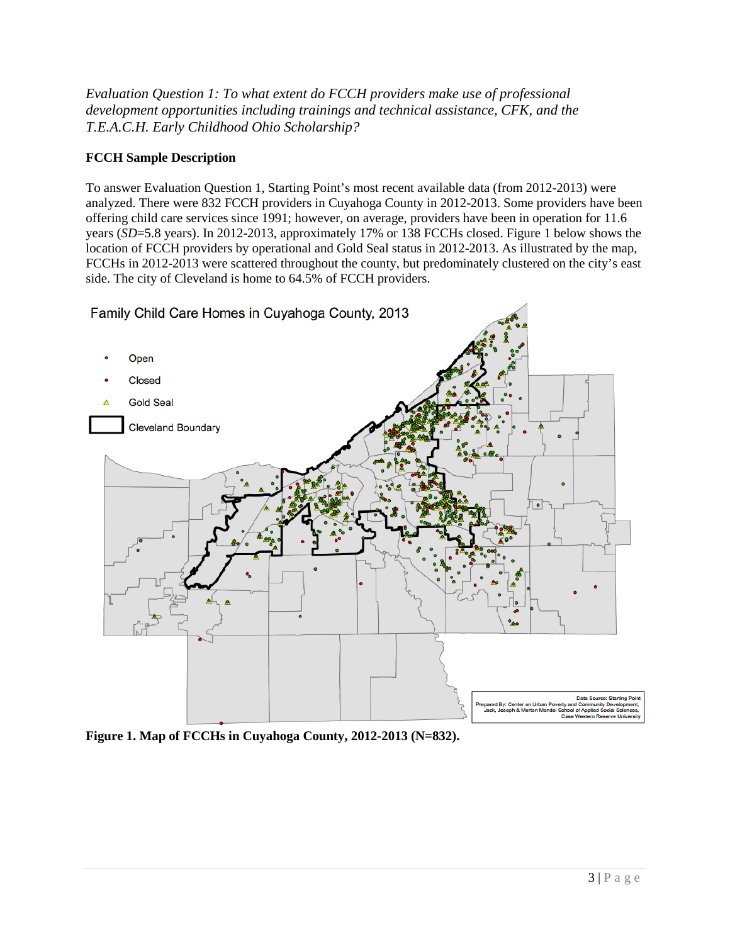*Evaluation Question 1: To what extent do FCCH providers make use of professional development opportunities including trainings and technical assistance, CFK, and the T.E.A.C.H. Early Childhood Ohio Scholarship?*

## **FCCH Sample Description**

To answer Evaluation Question 1, Starting Point's most recent available data (from 2012-2013) were analyzed. There were 832 FCCH providers in Cuyahoga County in 2012-2013. Some providers have been offering child care services since 1991; however, on average, providers have been in operation for 11.6 years (*SD*=5.8 years). In 2012-2013, approximately 17% or 138 FCCHs closed. Figure 1 below shows the location of FCCH providers by operational and Gold Seal status in 2012-2013. As illustrated by the map, FCCHs in 2012-2013 were scattered throughout the county, but predominately clustered on the city's east side. The city of Cleveland is home to 64.5% of FCCH providers.



**Figure 1. Map of FCCHs in Cuyahoga County, 2012-2013 (N=832).**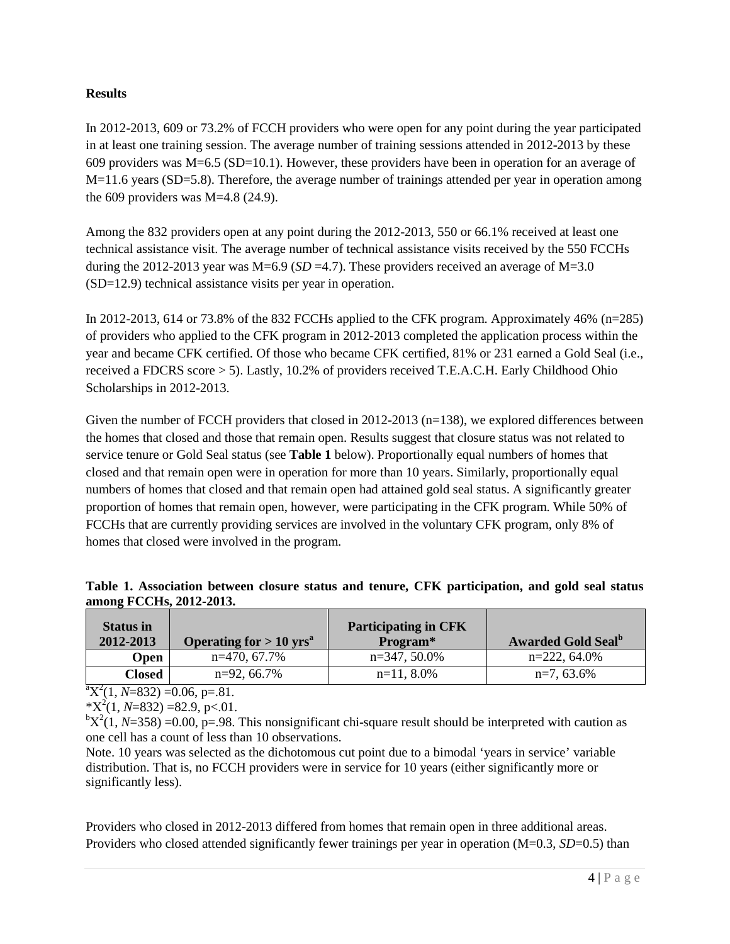#### **Results**

In 2012-2013, 609 or 73.2% of FCCH providers who were open for any point during the year participated in at least one training session. The average number of training sessions attended in 2012-2013 by these 609 providers was M=6.5 (SD=10.1). However, these providers have been in operation for an average of M=11.6 years (SD=5.8). Therefore, the average number of trainings attended per year in operation among the 609 providers was  $M=4.8$  (24.9).

Among the 832 providers open at any point during the 2012-2013, 550 or 66.1% received at least one technical assistance visit. The average number of technical assistance visits received by the 550 FCCHs during the 2012-2013 year was  $M=6.9$  (*SD = 4.7*). These providers received an average of  $M=3.0$ (SD=12.9) technical assistance visits per year in operation.

In 2012-2013, 614 or 73.8% of the 832 FCCHs applied to the CFK program. Approximately 46% (n=285) of providers who applied to the CFK program in 2012-2013 completed the application process within the year and became CFK certified. Of those who became CFK certified, 81% or 231 earned a Gold Seal (i.e., received a FDCRS score > 5). Lastly, 10.2% of providers received T.E.A.C.H. Early Childhood Ohio Scholarships in 2012-2013.

Given the number of FCCH providers that closed in 2012-2013 (n=138), we explored differences between the homes that closed and those that remain open. Results suggest that closure status was not related to service tenure or Gold Seal status (see **Table 1** below). Proportionally equal numbers of homes that closed and that remain open were in operation for more than 10 years. Similarly, proportionally equal numbers of homes that closed and that remain open had attained gold seal status. A significantly greater proportion of homes that remain open, however, were participating in the CFK program. While 50% of FCCHs that are currently providing services are involved in the voluntary CFK program, only 8% of homes that closed were involved in the program.

|                         | Table 1. Association between closure status and tenure, CFK participation, and gold seal status |  |  |  |  |
|-------------------------|-------------------------------------------------------------------------------------------------|--|--|--|--|
| among FCCHs, 2012-2013. |                                                                                                 |  |  |  |  |
|                         |                                                                                                 |  |  |  |  |

| <b>Status in</b><br>2012-2013 | Operating for $> 10$ yrs <sup>a</sup> | <b>Participating in CFK</b><br>Program* | <b>Awarded Gold Seal</b> <sup>b</sup> |  |  |
|-------------------------------|---------------------------------------|-----------------------------------------|---------------------------------------|--|--|
| Open                          | $n=470, 67.7\%$                       | $n=347, 50.0\%$                         | $n=222, 64.0\%$                       |  |  |
| Closed                        | $n=92, 66.7\%$                        | $n=11, 8.0\%$                           | $n=7,63.6%$                           |  |  |

 ${}^{\text{a}}\text{X}^2(1, N=832) = 0.06$ , p=.81.

 $*X^2(1, N=832) = 82.9, p<.01.$ 

 ${}^{\text{b}}\text{X}^2(1, N=358) = 0.00, p=.98$ . This nonsignificant chi-square result should be interpreted with caution as one cell has a count of less than 10 observations.

Note. 10 years was selected as the dichotomous cut point due to a bimodal 'years in service' variable distribution. That is, no FCCH providers were in service for 10 years (either significantly more or significantly less).

Providers who closed in 2012-2013 differed from homes that remain open in three additional areas. Providers who closed attended significantly fewer trainings per year in operation (M=0.3, *SD*=0.5) than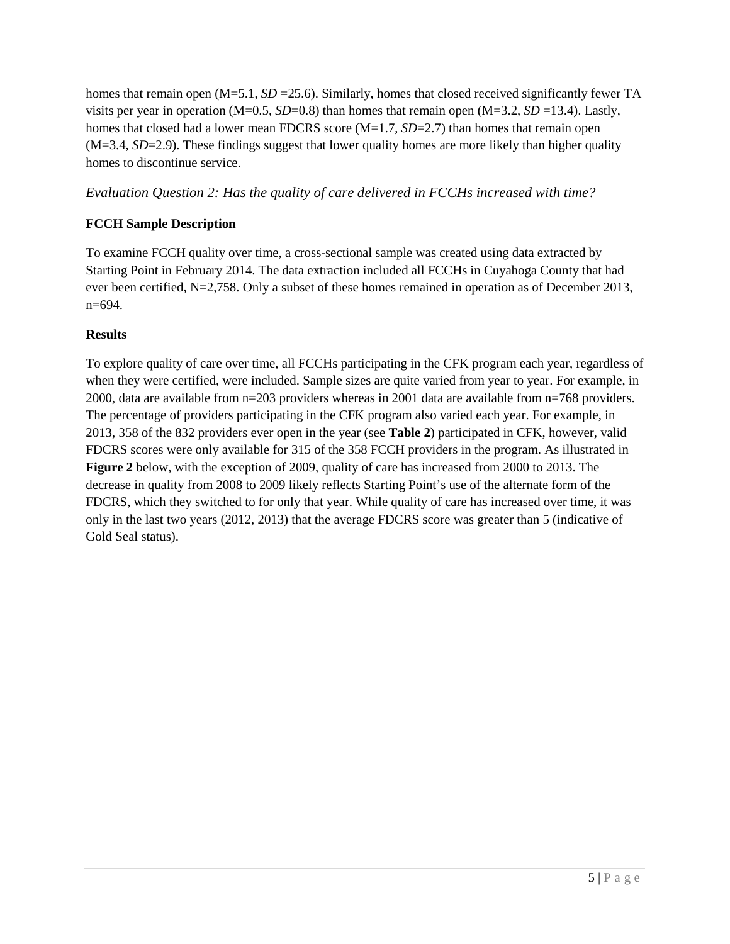homes that remain open  $(M=5.1, SD=25.6)$ . Similarly, homes that closed received significantly fewer TA visits per year in operation (M=0.5, *SD*=0.8) than homes that remain open (M=3.2, *SD* =13.4). Lastly, homes that closed had a lower mean FDCRS score (M=1.7, *SD*=2.7) than homes that remain open (M=3.4, *SD*=2.9). These findings suggest that lower quality homes are more likely than higher quality homes to discontinue service.

*Evaluation Question 2: Has the quality of care delivered in FCCHs increased with time?*

# **FCCH Sample Description**

To examine FCCH quality over time, a cross-sectional sample was created using data extracted by Starting Point in February 2014. The data extraction included all FCCHs in Cuyahoga County that had ever been certified, N=2,758. Only a subset of these homes remained in operation as of December 2013, n=694.

## **Results**

To explore quality of care over time, all FCCHs participating in the CFK program each year, regardless of when they were certified, were included. Sample sizes are quite varied from year to year. For example, in 2000, data are available from n=203 providers whereas in 2001 data are available from n=768 providers. The percentage of providers participating in the CFK program also varied each year. For example, in 2013, 358 of the 832 providers ever open in the year (see **Table 2**) participated in CFK, however, valid FDCRS scores were only available for 315 of the 358 FCCH providers in the program. As illustrated in **Figure 2** below, with the exception of 2009, quality of care has increased from 2000 to 2013. The decrease in quality from 2008 to 2009 likely reflects Starting Point's use of the alternate form of the FDCRS, which they switched to for only that year. While quality of care has increased over time, it was only in the last two years (2012, 2013) that the average FDCRS score was greater than 5 (indicative of Gold Seal status).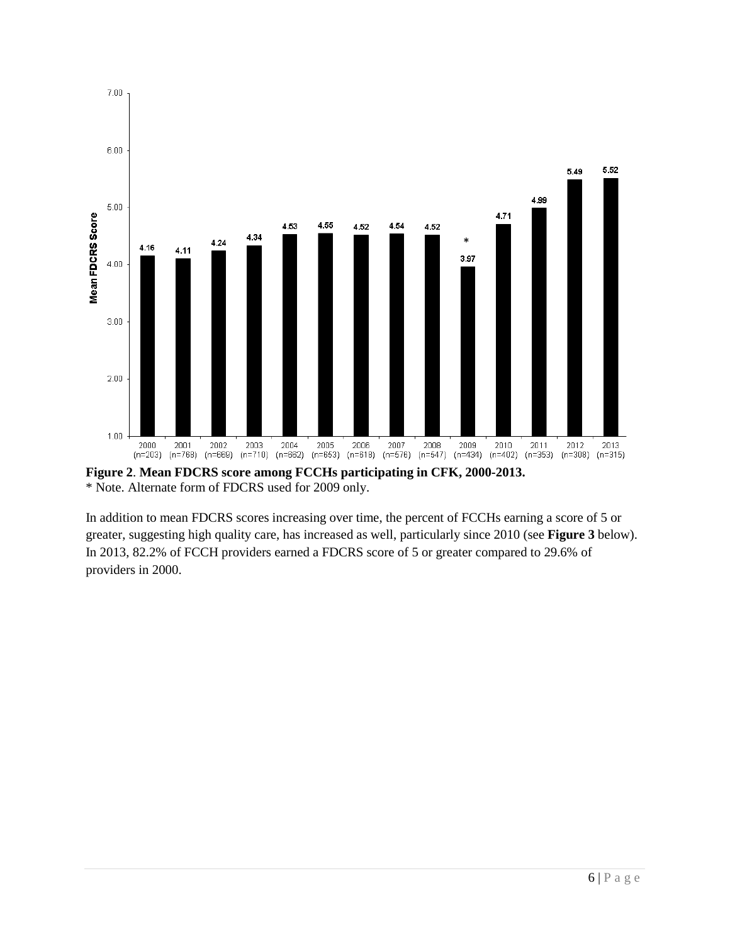

**Figure 2**. **Mean FDCRS score among FCCHs participating in CFK, 2000-2013.** \* Note. Alternate form of FDCRS used for 2009 only.

In addition to mean FDCRS scores increasing over time, the percent of FCCHs earning a score of 5 or greater, suggesting high quality care, has increased as well, particularly since 2010 (see **Figure 3** below). In 2013, 82.2% of FCCH providers earned a FDCRS score of 5 or greater compared to 29.6% of providers in 2000.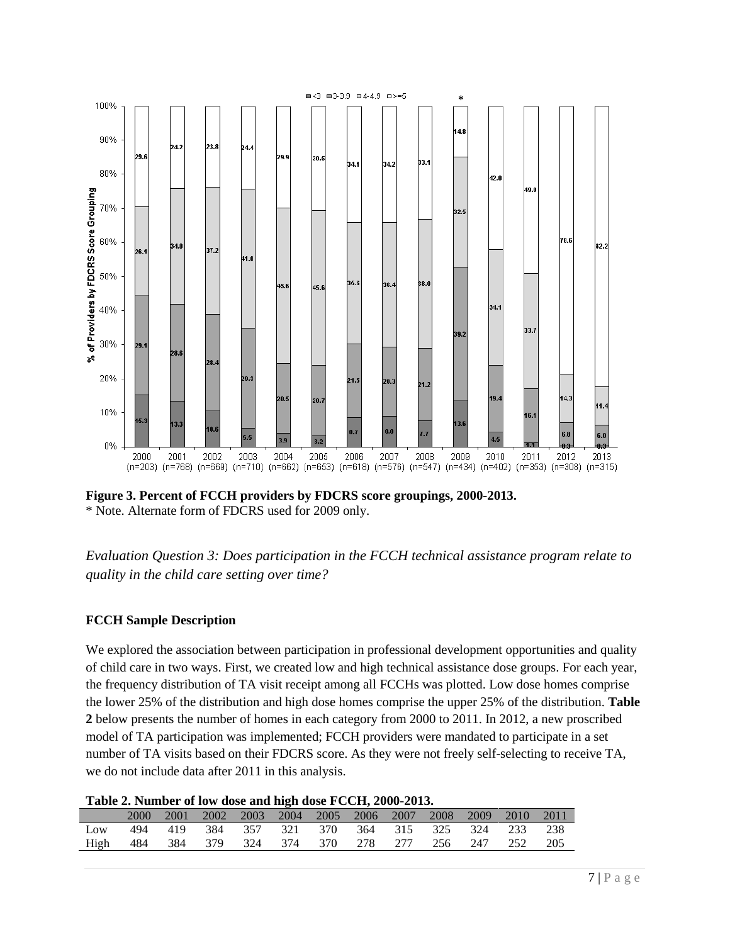

**Figure 3. Percent of FCCH providers by FDCRS score groupings, 2000-2013.** \* Note. Alternate form of FDCRS used for 2009 only.

*Evaluation Question 3: Does participation in the FCCH technical assistance program relate to quality in the child care setting over time?*

#### **FCCH Sample Description**

We explored the association between participation in professional development opportunities and quality of child care in two ways. First, we created low and high technical assistance dose groups. For each year, the frequency distribution of TA visit receipt among all FCCHs was plotted. Low dose homes comprise the lower 25% of the distribution and high dose homes comprise the upper 25% of the distribution. **Table 2** below presents the number of homes in each category from 2000 to 2011. In 2012, a new proscribed model of TA participation was implemented; FCCH providers were mandated to participate in a set number of TA visits based on their FDCRS score. As they were not freely self-selecting to receive TA, we do not include data after 2011 in this analysis.

#### **Table 2. Number of low dose and high dose FCCH, 2000-2013.**

|                                                      |  |  | 2001 2002 2003 2004 2005 2006 2007 2008 2009 2010 2011 |  |  |  |  |
|------------------------------------------------------|--|--|--------------------------------------------------------|--|--|--|--|
| Low                                                  |  |  | 494 419 384 357 321 370 364 315 325 324 233 238        |  |  |  |  |
| High 484 384 379 324 374 370 278 277 256 247 252 205 |  |  |                                                        |  |  |  |  |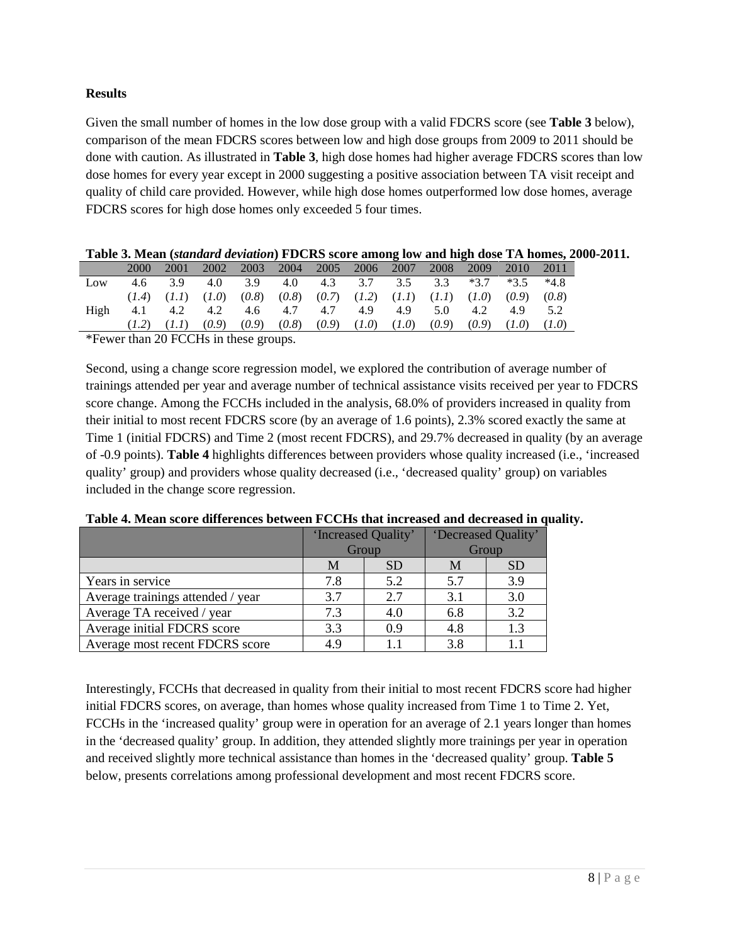#### **Results**

Given the small number of homes in the low dose group with a valid FDCRS score (see **Table 3** below), comparison of the mean FDCRS scores between low and high dose groups from 2009 to 2011 should be done with caution. As illustrated in **Table 3**, high dose homes had higher average FDCRS scores than low dose homes for every year except in 2000 suggesting a positive association between TA visit receipt and quality of child care provided. However, while high dose homes outperformed low dose homes, average FDCRS scores for high dose homes only exceeded 5 four times.

|  |  |  | Table 3. Mean (standard deviation) FDCRS score among low and high dose TA homes, 2000-2011. |  |  |  |  |
|--|--|--|---------------------------------------------------------------------------------------------|--|--|--|--|
|  |  |  | $0.001$ 0.000 0.000 0.004 0.005 0.005 0.000 0.000 0.010 0.011                               |  |  |  |  |

|      | 2000 | 2001                    | 2002  | 2003                                                            | 2004  | 2005 2006 |                 | 2007  | 2008  | 2009  | 2010    | 2011  |
|------|------|-------------------------|-------|-----------------------------------------------------------------|-------|-----------|-----------------|-------|-------|-------|---------|-------|
| Low  |      | 3.9                     | 4.0   | $3.9$ 4.0 4.3 3.7 3.5 3.3 $*3.7$ $*3.5$                         |       |           |                 |       |       |       |         | *4.8  |
|      |      | $(1.4)$ $(1.1)$ $(1.0)$ |       | $(0.8)$ $(0.8)$ $(0.7)$ $(1.2)$ $(1.1)$ $(1.1)$ $(1.0)$ $(0.9)$ |       |           |                 |       |       |       |         | (0.8) |
| High | 4.1  |                         |       | 4.2 4.2 4.6 4.7 4.7                                             |       |           | 4.9             | 4.9   | 5.0   | 4.2   | 4.9 5.2 |       |
|      |      | (l,l)                   | (0.9) | (0.9)                                                           | (0.8) |           | $(0.9)$ $(1.0)$ | (1.0) | (0.9) | (0.9) | (1.0)   |       |

\*Fewer than 20 FCCHs in these groups.

Second, using a change score regression model, we explored the contribution of average number of trainings attended per year and average number of technical assistance visits received per year to FDCRS score change. Among the FCCHs included in the analysis, 68.0% of providers increased in quality from their initial to most recent FDCRS score (by an average of 1.6 points), 2.3% scored exactly the same at Time 1 (initial FDCRS) and Time 2 (most recent FDCRS), and 29.7% decreased in quality (by an average of -0.9 points). **Table 4** highlights differences between providers whose quality increased (i.e., 'increased quality' group) and providers whose quality decreased (i.e., 'decreased quality' group) on variables included in the change score regression.

|                                   | 'Increased Quality' |           | 'Decreased Quality' |           |  |
|-----------------------------------|---------------------|-----------|---------------------|-----------|--|
|                                   | Group               |           | Group               |           |  |
|                                   | М                   | <b>SD</b> | M                   | <b>SD</b> |  |
| Years in service                  | 7.8                 | 5.2       | 5.7                 | 3.9       |  |
| Average trainings attended / year | 3.7                 | 2.7       | 3.1                 | 3.0       |  |
| Average TA received / year        | 7.3                 | 4.0       | 6.8                 | 3.2       |  |
| Average initial FDCRS score       | 3.3                 | 0.9       | 4.8                 | 1.3       |  |
| Average most recent FDCRS score   | 4.9                 | 1.1       | 3.8                 |           |  |

**Table 4. Mean score differences between FCCHs that increased and decreased in quality.**

Interestingly, FCCHs that decreased in quality from their initial to most recent FDCRS score had higher initial FDCRS scores, on average, than homes whose quality increased from Time 1 to Time 2. Yet, FCCHs in the 'increased quality' group were in operation for an average of 2.1 years longer than homes in the 'decreased quality' group. In addition, they attended slightly more trainings per year in operation and received slightly more technical assistance than homes in the 'decreased quality' group. **Table 5** below, presents correlations among professional development and most recent FDCRS score.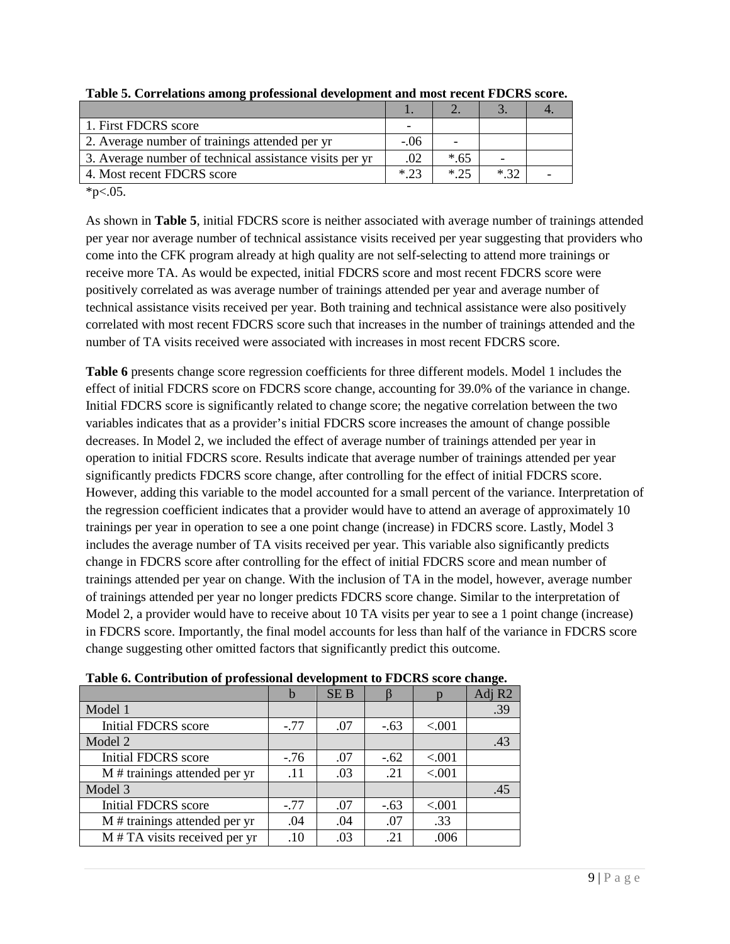| 1. First FDCRS score                                    |        |        |  |
|---------------------------------------------------------|--------|--------|--|
| 2. Average number of trainings attended per yr          | $-.06$ |        |  |
| 3. Average number of technical assistance visits per yr | .02    | $*.65$ |  |
| 4. Most recent FDCRS score                              | $*23$  | * つち   |  |

**Table 5. Correlations among professional development and most recent FDCRS score.**

 $*p<.05$ .

As shown in **Table 5**, initial FDCRS score is neither associated with average number of trainings attended per year nor average number of technical assistance visits received per year suggesting that providers who come into the CFK program already at high quality are not self-selecting to attend more trainings or receive more TA. As would be expected, initial FDCRS score and most recent FDCRS score were positively correlated as was average number of trainings attended per year and average number of technical assistance visits received per year. Both training and technical assistance were also positively correlated with most recent FDCRS score such that increases in the number of trainings attended and the number of TA visits received were associated with increases in most recent FDCRS score.

**Table 6** presents change score regression coefficients for three different models. Model 1 includes the effect of initial FDCRS score on FDCRS score change, accounting for 39.0% of the variance in change. Initial FDCRS score is significantly related to change score; the negative correlation between the two variables indicates that as a provider's initial FDCRS score increases the amount of change possible decreases. In Model 2, we included the effect of average number of trainings attended per year in operation to initial FDCRS score. Results indicate that average number of trainings attended per year significantly predicts FDCRS score change, after controlling for the effect of initial FDCRS score. However, adding this variable to the model accounted for a small percent of the variance. Interpretation of the regression coefficient indicates that a provider would have to attend an average of approximately 10 trainings per year in operation to see a one point change (increase) in FDCRS score. Lastly, Model 3 includes the average number of TA visits received per year. This variable also significantly predicts change in FDCRS score after controlling for the effect of initial FDCRS score and mean number of trainings attended per year on change. With the inclusion of TA in the model, however, average number of trainings attended per year no longer predicts FDCRS score change. Similar to the interpretation of Model 2, a provider would have to receive about 10 TA visits per year to see a 1 point change (increase) in FDCRS score. Importantly, the final model accounts for less than half of the variance in FDCRS score change suggesting other omitted factors that significantly predict this outcome.

|                                 |        |            |        |          | . .    |
|---------------------------------|--------|------------|--------|----------|--------|
|                                 | b      | <b>SEB</b> |        |          | Adj R2 |
| Model 1                         |        |            |        |          | .39    |
| Initial FDCRS score             | $-.77$ | .07        | $-.63$ | ${<}001$ |        |
| Model 2                         |        |            |        |          | .43    |
| Initial FDCRS score             | $-76$  | .07        | $-.62$ | < .001   |        |
| M # trainings attended per yr   | .11    | .03        | .21    | < .001   |        |
| Model 3                         |        |            |        |          | .45    |
| Initial FDCRS score             | $-.77$ | .07        | $-.63$ | < 0.001  |        |
| M # trainings attended per yr   | .04    | .04        | .07    | .33      |        |
| $M$ # TA visits received per yr | .10    | .03        | .21    | .006     |        |

**Table 6. Contribution of professional development to FDCRS score change.**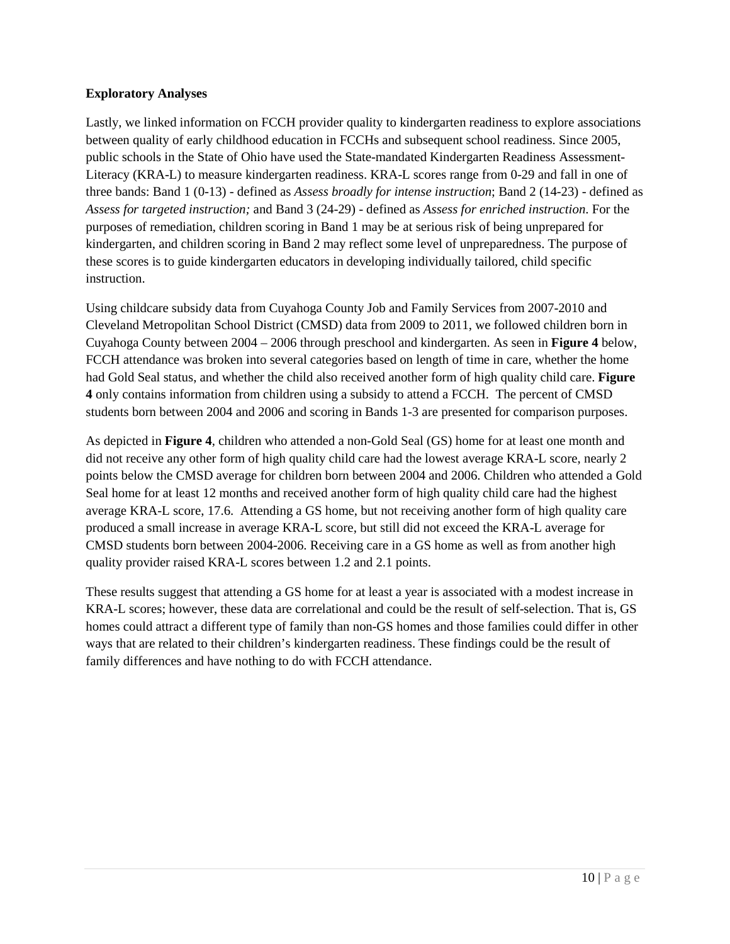#### **Exploratory Analyses**

Lastly, we linked information on FCCH provider quality to kindergarten readiness to explore associations between quality of early childhood education in FCCHs and subsequent school readiness. Since 2005, public schools in the State of Ohio have used the State-mandated Kindergarten Readiness Assessment-Literacy (KRA-L) to measure kindergarten readiness. KRA-L scores range from 0-29 and fall in one of three bands: Band 1 (0-13) - defined as *Assess broadly for intense instruction*; Band 2 (14-23) - defined as *Assess for targeted instruction;* and Band 3 (24-29) - defined as *Assess for enriched instruction*. For the purposes of remediation, children scoring in Band 1 may be at serious risk of being unprepared for kindergarten, and children scoring in Band 2 may reflect some level of unpreparedness. The purpose of these scores is to guide kindergarten educators in developing individually tailored, child specific instruction.

Using childcare subsidy data from Cuyahoga County Job and Family Services from 2007-2010 and Cleveland Metropolitan School District (CMSD) data from 2009 to 2011, we followed children born in Cuyahoga County between 2004 – 2006 through preschool and kindergarten. As seen in **Figure 4** below, FCCH attendance was broken into several categories based on length of time in care, whether the home had Gold Seal status, and whether the child also received another form of high quality child care. **Figure 4** only contains information from children using a subsidy to attend a FCCH. The percent of CMSD students born between 2004 and 2006 and scoring in Bands 1-3 are presented for comparison purposes.

As depicted in **Figure 4**, children who attended a non-Gold Seal (GS) home for at least one month and did not receive any other form of high quality child care had the lowest average KRA-L score, nearly 2 points below the CMSD average for children born between 2004 and 2006. Children who attended a Gold Seal home for at least 12 months and received another form of high quality child care had the highest average KRA-L score, 17.6. Attending a GS home, but not receiving another form of high quality care produced a small increase in average KRA-L score, but still did not exceed the KRA-L average for CMSD students born between 2004-2006. Receiving care in a GS home as well as from another high quality provider raised KRA-L scores between 1.2 and 2.1 points.

These results suggest that attending a GS home for at least a year is associated with a modest increase in KRA-L scores; however, these data are correlational and could be the result of self-selection. That is, GS homes could attract a different type of family than non-GS homes and those families could differ in other ways that are related to their children's kindergarten readiness. These findings could be the result of family differences and have nothing to do with FCCH attendance.